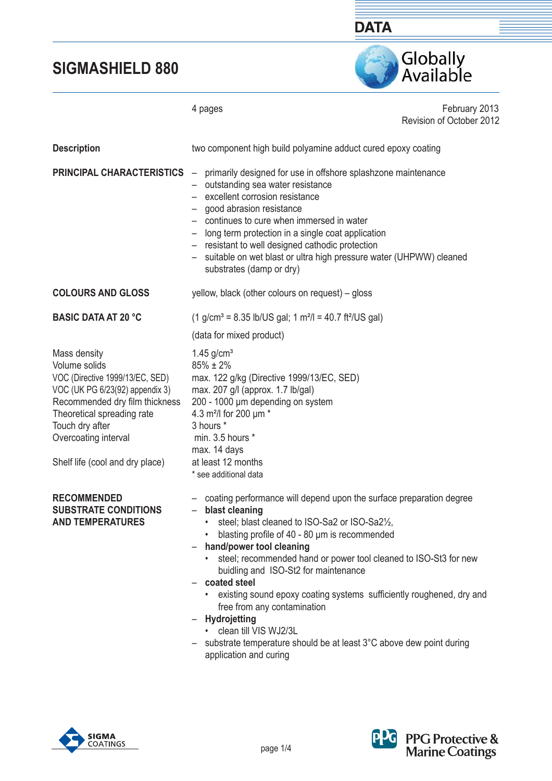

February 2013 4 pages Revision of October 2012 two component high build polyamine adduct cured epoxy coating **PRINCIPAL CHARACTERISTICS** - primarily designed for use in offshore splashzone maintenance – outstanding sea water resistance – excellent corrosion resistance – good abrasion resistance – continues to cure when immersed in water – long term protection in a single coat application – resistant to well designed cathodic protection – suitable on wet blast or ultra high pressure water (UHPWW) cleaned substrates (damp or dry) yellow, black (other colours on request) – gloss  $(1 \text{ g/cm}^3 = 8.35 \text{ lb/US gal}; 1 \text{ m}^2/\text{J} = 40.7 \text{ ft}^2/\text{US gal})$  (data for mixed product)  $1.45$  g/cm<sup>3</sup> 85% ± 2% max. 122 g/kg (Directive 1999/13/EC, SED) max. 207 g/l (approx. 1.7 lb/gal) Recommended dry film thickness 200 - 1000 μm depending on system Theoretical spreading rate 4.3 m²/l for 200 μm \* 3 hours \* min. 3.5 hours \* max. 14 days at least 12 months \* see additional data – coating performance will depend upon the surface preparation degree – **blast cleaning** steel; blast cleaned to ISO-Sa2 or ISO-Sa21/2, • blasting profile of 40 - 80 um is recommended – **hand/power tool cleaning**  steel; recommended hand or power tool cleaned to ISO-St3 for new buidling and ISO-St2 for maintenance – **coated steel** existing sound epoxy coating systems sufficiently roughened, dry and free from any contamination – **Hydrojetting**  • clean till VIS WJ2/3L  $-$  substrate temperature should be at least  $3^{\circ}$ C above dew point during application and curing  **Description COLOURS AND GLOSS BASIC DATA AT 20 °C**  Mass density Volume solids VOC (Directive 1999/13/EC, SED) VOC (UK PG 6/23(92) appendix 3) Touch dry after Overcoating interval Shelf life (cool and dry place)  **RECOMMENDED SUBSTRATE CONDITIONS AND TEMPERATURES** 



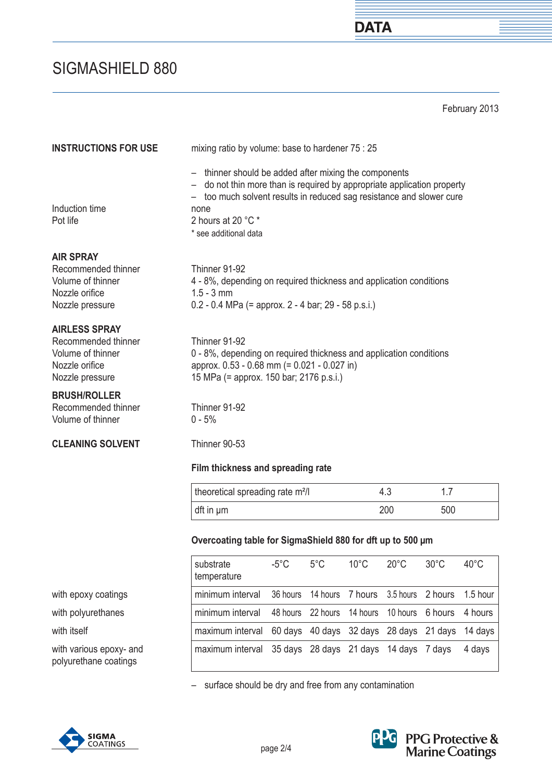February 2013

**DATA** 

| <b>INSTRUCTIONS FOR USE</b>                                                                           | mixing ratio by volume: base to hardener 75 : 25                                                                                                                                                                                                            |                   |               |                |                |                |                |
|-------------------------------------------------------------------------------------------------------|-------------------------------------------------------------------------------------------------------------------------------------------------------------------------------------------------------------------------------------------------------------|-------------------|---------------|----------------|----------------|----------------|----------------|
| Induction time<br>Pot life                                                                            | - thinner should be added after mixing the components<br>do not thin more than is required by appropriate application property<br>too much solvent results in reduced sag resistance and slower cure<br>none<br>2 hours at 20 °C *<br>* see additional data |                   |               |                |                |                |                |
| <b>AIR SPRAY</b><br>Recommended thinner<br>Volume of thinner<br>Nozzle orifice<br>Nozzle pressure     | Thinner 91-92<br>4 - 8%, depending on required thickness and application conditions<br>$1.5 - 3$ mm<br>$0.2 - 0.4$ MPa (= approx. 2 - 4 bar; 29 - 58 p.s.i.)                                                                                                |                   |               |                |                |                |                |
| <b>AIRLESS SPRAY</b><br>Recommended thinner<br>Volume of thinner<br>Nozzle orifice<br>Nozzle pressure | Thinner 91-92<br>0 - 8%, depending on required thickness and application conditions<br>approx. 0.53 - 0.68 mm (= 0.021 - 0.027 in)<br>15 MPa (= approx. 150 bar; 2176 p.s.i.)                                                                               |                   |               |                |                |                |                |
| <b>BRUSH/ROLLER</b><br>Recommended thinner<br>Volume of thinner                                       | Thinner 91-92<br>$0 - 5%$                                                                                                                                                                                                                                   |                   |               |                |                |                |                |
| <b>CLEANING SOLVENT</b>                                                                               | Thinner 90-53                                                                                                                                                                                                                                               |                   |               |                |                |                |                |
|                                                                                                       | Film thickness and spreading rate                                                                                                                                                                                                                           |                   |               |                |                |                |                |
|                                                                                                       | theoretical spreading rate m <sup>2</sup> /l                                                                                                                                                                                                                |                   |               |                | 4.3            | 1.7            |                |
|                                                                                                       | dft in µm                                                                                                                                                                                                                                                   |                   |               |                | 200            | 500            |                |
|                                                                                                       | Overcoating table for SigmaShield 880 for dft up to 500 µm                                                                                                                                                                                                  |                   |               |                |                |                |                |
|                                                                                                       | substrate<br>temperature                                                                                                                                                                                                                                    | $-5^{\circ}$ C    | $5^{\circ}$ C | $10^{\circ}$ C | $20^{\circ}$ C | $30^{\circ}$ C | $40^{\circ}$ C |
| with epoxy coatings                                                                                   | minimum interval                                                                                                                                                                                                                                            | 36 hours          | 14 hours      | 7 hours        | 3.5 hours      | 2 hours        | 1.5 hour       |
| with polyurethanes                                                                                    | minimum interval                                                                                                                                                                                                                                            | 48 hours 22 hours |               | 14 hours       | 10 hours       | 6 hours        | 4 hours        |

with itself maximum interval 60 days 40 days 32 days 28 days 21 days 14 days

with various epoxy- and polyurethane coatings



maximum interval 35 days 28 days 21 days 14 days 7 days 4 days



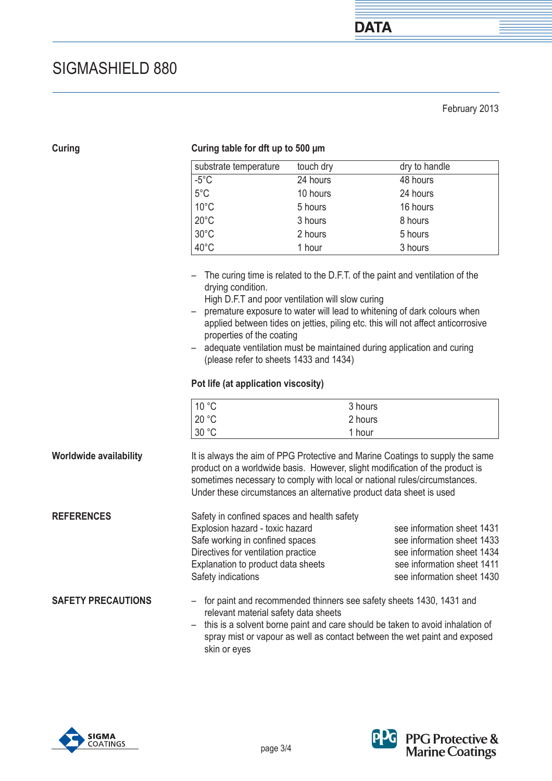February 2013

### **Curing table for dft up to 500 μm**

| substrate temperature | touch dry | dry to handle |
|-----------------------|-----------|---------------|
| $-5^{\circ}$ C        | 24 hours  | 48 hours      |
| $5^{\circ}$ C         | 10 hours  | 24 hours      |
| $10^{\circ}$ C        | 5 hours   | 16 hours      |
| $20^{\circ}$ C        | 3 hours   | 8 hours       |
| $30^{\circ}$ C        | 2 hours   | 5 hours       |
| 40°C                  | 1 hour    | 3 hours       |

- The curing time is related to the D.F.T. of the paint and ventilation of the drying condition.
	- High D.F.T and poor ventilation will slow curing
- premature exposure to water will lead to whitening of dark colours when applied between tides on jetties, piling etc. this will not affect anticorrosive properties of the coating
- adequate ventilation must be maintained during application and curing (please refer to sheets 1433 and 1434)

### **Pot life (at application viscosity)**

| 10 °C | 3 hours |
|-------|---------|
| 20 °C | 2 hours |
| 30 °C | 1 hour  |

 It is always the aim of PPG Protective and Marine Coatings to supply the same product on a worldwide basis. However, slight modification of the product is sometimes necessary to comply with local or national rules/circumstances. Under these circumstances an alternative product data sheet is used  **Worldwide availability** 

| <b>REFERENCES</b> | Safety in confined spaces and health safety |                            |
|-------------------|---------------------------------------------|----------------------------|
|                   | Explosion hazard - toxic hazard             | see information sheet 1431 |
|                   | Safe working in confined spaces             | see information sheet 1433 |
|                   | Directives for ventilation practice         | see information sheet 1434 |
|                   | Explanation to product data sheets          | see information sheet 1411 |
|                   | Safety indications                          | see information sheet 1430 |
|                   |                                             |                            |

- for paint and recommended thinners see safety sheets 1430, 1431 and relevant material safety data sheets  **SAFETY PRECAUTIONS** 
	- this is a solvent borne paint and care should be taken to avoid inhalation of spray mist or vapour as well as contact between the wet paint and exposed skin or eyes